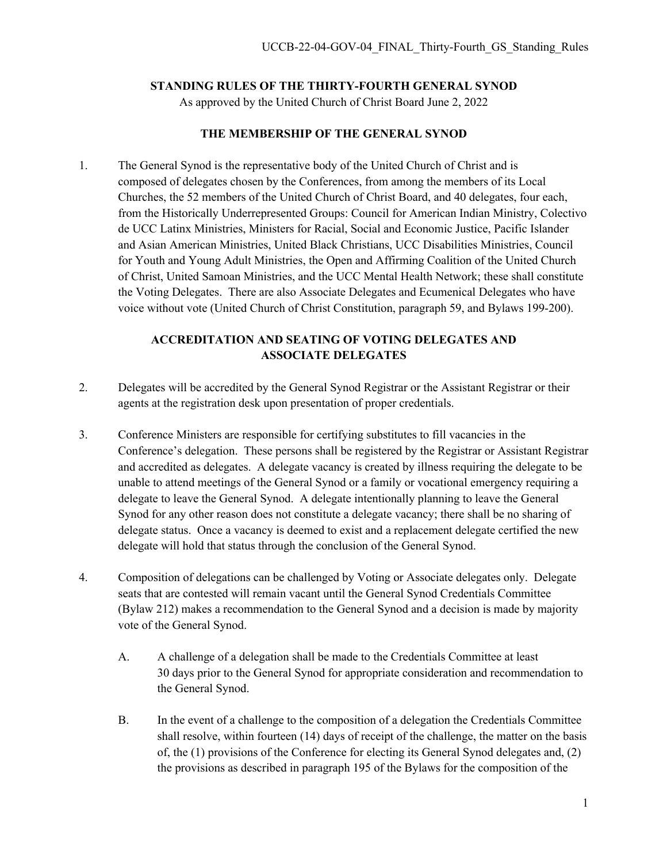#### **STANDING RULES OF THE THIRTY-FOURTH GENERAL SYNOD**

As approved by the United Church of Christ Board June 2, 2022

#### **THE MEMBERSHIP OF THE GENERAL SYNOD**

1. The General Synod is the representative body of the United Church of Christ and is composed of delegates chosen by the Conferences, from among the members of its Local Churches, the 52 members of the United Church of Christ Board, and 40 delegates, four each, from the Historically Underrepresented Groups: Council for American Indian Ministry, Colectivo de UCC Latinx Ministries, Ministers for Racial, Social and Economic Justice, Pacific Islander and Asian American Ministries, United Black Christians, UCC Disabilities Ministries, Council for Youth and Young Adult Ministries, the Open and Affirming Coalition of the United Church of Christ, United Samoan Ministries, and the UCC Mental Health Network; these shall constitute the Voting Delegates. There are also Associate Delegates and Ecumenical Delegates who have voice without vote (United Church of Christ Constitution, paragraph 59, and Bylaws 199-200).

## **ACCREDITATION AND SEATING OF VOTING DELEGATES AND ASSOCIATE DELEGATES**

- 2. Delegates will be accredited by the General Synod Registrar or the Assistant Registrar or their agents at the registration desk upon presentation of proper credentials.
- 3. Conference Ministers are responsible for certifying substitutes to fill vacancies in the Conference's delegation. These persons shall be registered by the Registrar or Assistant Registrar and accredited as delegates. A delegate vacancy is created by illness requiring the delegate to be unable to attend meetings of the General Synod or a family or vocational emergency requiring a delegate to leave the General Synod. A delegate intentionally planning to leave the General Synod for any other reason does not constitute a delegate vacancy; there shall be no sharing of delegate status. Once a vacancy is deemed to exist and a replacement delegate certified the new delegate will hold that status through the conclusion of the General Synod.
- 4. Composition of delegations can be challenged by Voting or Associate delegates only. Delegate seats that are contested will remain vacant until the General Synod Credentials Committee (Bylaw 212) makes a recommendation to the General Synod and a decision is made by majority vote of the General Synod.
	- A. A challenge of a delegation shall be made to the Credentials Committee at least 30 days prior to the General Synod for appropriate consideration and recommendation to the General Synod.
	- B. In the event of a challenge to the composition of a delegation the Credentials Committee shall resolve, within fourteen (14) days of receipt of the challenge, the matter on the basis of, the (1) provisions of the Conference for electing its General Synod delegates and, (2) the provisions as described in paragraph 195 of the Bylaws for the composition of the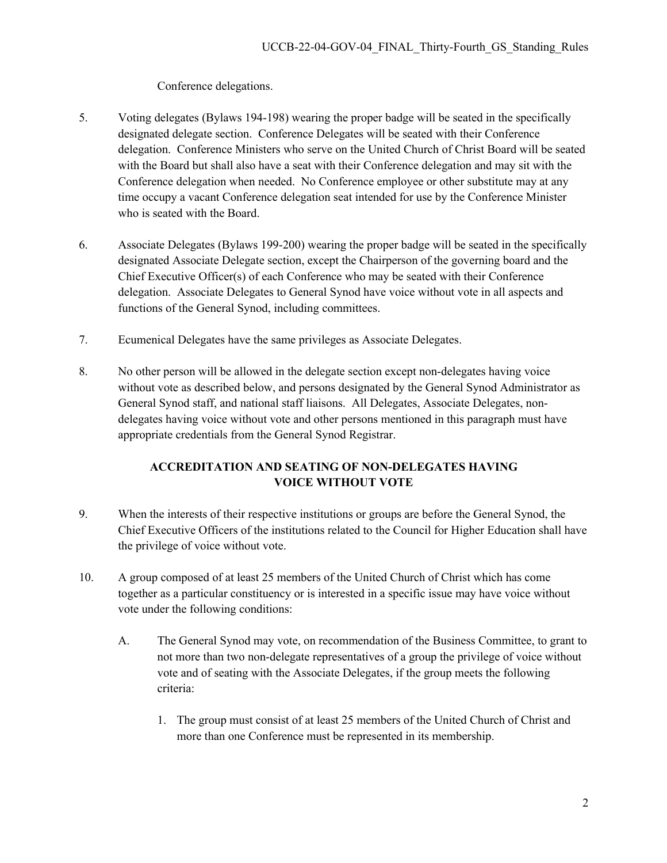## Conference delegations.

- 5. Voting delegates (Bylaws 194-198) wearing the proper badge will be seated in the specifically designated delegate section. Conference Delegates will be seated with their Conference delegation. Conference Ministers who serve on the United Church of Christ Board will be seated with the Board but shall also have a seat with their Conference delegation and may sit with the Conference delegation when needed. No Conference employee or other substitute may at any time occupy a vacant Conference delegation seat intended for use by the Conference Minister who is seated with the Board.
- 6. Associate Delegates (Bylaws 199-200) wearing the proper badge will be seated in the specifically designated Associate Delegate section, except the Chairperson of the governing board and the Chief Executive Officer(s) of each Conference who may be seated with their Conference delegation. Associate Delegates to General Synod have voice without vote in all aspects and functions of the General Synod, including committees.
- 7. Ecumenical Delegates have the same privileges as Associate Delegates.
- 8. No other person will be allowed in the delegate section except non-delegates having voice without vote as described below, and persons designated by the General Synod Administrator as General Synod staff, and national staff liaisons. All Delegates, Associate Delegates, nondelegates having voice without vote and other persons mentioned in this paragraph must have appropriate credentials from the General Synod Registrar.

# **ACCREDITATION AND SEATING OF NON-DELEGATES HAVING VOICE WITHOUT VOTE**

- 9. When the interests of their respective institutions or groups are before the General Synod, the Chief Executive Officers of the institutions related to the Council for Higher Education shall have the privilege of voice without vote.
- 10. A group composed of at least 25 members of the United Church of Christ which has come together as a particular constituency or is interested in a specific issue may have voice without vote under the following conditions:
	- A. The General Synod may vote, on recommendation of the Business Committee, to grant to not more than two non-delegate representatives of a group the privilege of voice without vote and of seating with the Associate Delegates, if the group meets the following criteria:
		- 1. The group must consist of at least 25 members of the United Church of Christ and more than one Conference must be represented in its membership.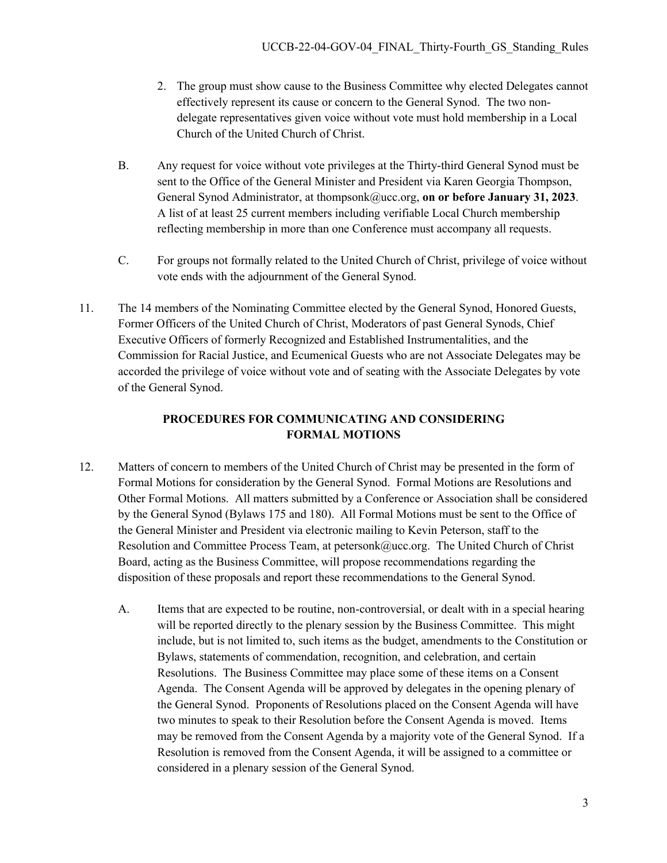- 2. The group must show cause to the Business Committee why elected Delegates cannot effectively represent its cause or concern to the General Synod.The two nondelegate representatives given voice without vote must hold membership in a Local Church of the United Church of Christ.
- B. Any request for voice without vote privileges at the Thirty-third General Synod must be sent to the Office of the General Minister and President via Karen Georgia Thompson, General Synod Administrator, at thompsonk@ucc.org, **on or before January 31, 2023**. A list of at least 25 current members including verifiable Local Church membership reflecting membership in more than one Conference must accompany all requests.
- C. For groups not formally related to the United Church of Christ, privilege of voice without vote ends with the adjournment of the General Synod.
- 11. The 14 members of the Nominating Committee elected by the General Synod, Honored Guests, Former Officers of the United Church of Christ, Moderators of past General Synods, Chief Executive Officers of formerly Recognized and Established Instrumentalities, and the Commission for Racial Justice, and Ecumenical Guests who are not Associate Delegates may be accorded the privilege of voice without vote and of seating with the Associate Delegates by vote of the General Synod.

# **PROCEDURES FOR COMMUNICATING AND CONSIDERING FORMAL MOTIONS**

- 12. Matters of concern to members of the United Church of Christ may be presented in the form of Formal Motions for consideration by the General Synod. Formal Motions are Resolutions and Other Formal Motions. All matters submitted by a Conference or Association shall be considered by the General Synod (Bylaws 175 and 180). All Formal Motions must be sent to the Office of the General Minister and President via electronic mailing to Kevin Peterson, staff to the Resolution and Committee Process Team, at petersonk@ucc.org. The United Church of Christ Board, acting as the Business Committee, will propose recommendations regarding the disposition of these proposals and report these recommendations to the General Synod.
	- A. Items that are expected to be routine, non-controversial, or dealt with in a special hearing will be reported directly to the plenary session by the Business Committee. This might include, but is not limited to, such items as the budget, amendments to the Constitution or Bylaws, statements of commendation, recognition, and celebration, and certain Resolutions. The Business Committee may place some of these items on a Consent Agenda. The Consent Agenda will be approved by delegates in the opening plenary of the General Synod. Proponents of Resolutions placed on the Consent Agenda will have two minutes to speak to their Resolution before the Consent Agenda is moved. Items may be removed from the Consent Agenda by a majority vote of the General Synod. If a Resolution is removed from the Consent Agenda, it will be assigned to a committee or considered in a plenary session of the General Synod.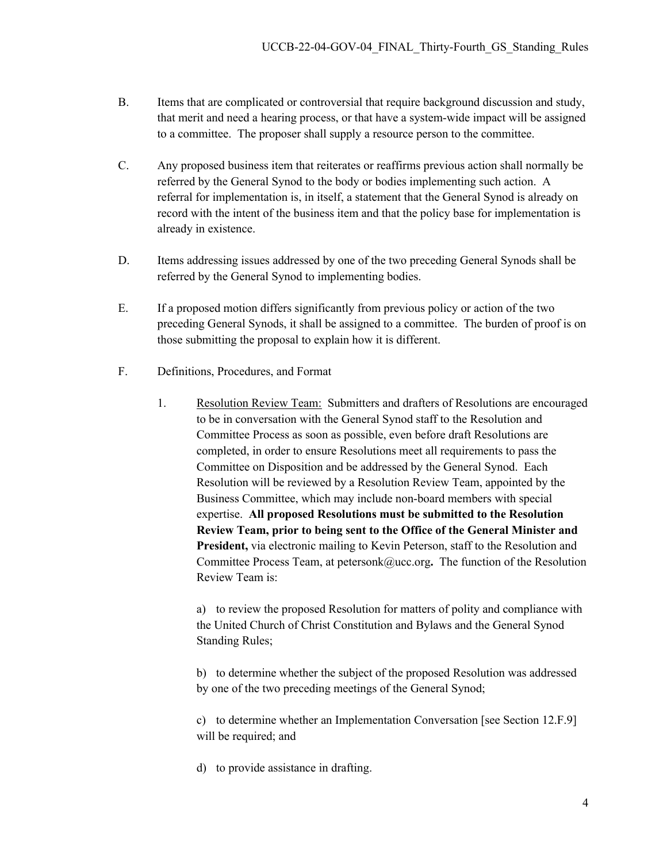- B. Items that are complicated or controversial that require background discussion and study, that merit and need a hearing process, or that have a system-wide impact will be assigned to a committee. The proposer shall supply a resource person to the committee.
- C. Any proposed business item that reiterates or reaffirms previous action shall normally be referred by the General Synod to the body or bodies implementing such action. A referral for implementation is, in itself, a statement that the General Synod is already on record with the intent of the business item and that the policy base for implementation is already in existence.
- D. Items addressing issues addressed by one of the two preceding General Synods shall be referred by the General Synod to implementing bodies.
- E. If a proposed motion differs significantly from previous policy or action of the two preceding General Synods, it shall be assigned to a committee. The burden of proof is on those submitting the proposal to explain how it is different.
- F. Definitions, Procedures, and Format
	- 1. Resolution Review Team: Submitters and drafters of Resolutions are encouraged to be in conversation with the General Synod staff to the Resolution and Committee Process as soon as possible, even before draft Resolutions are completed, in order to ensure Resolutions meet all requirements to pass the Committee on Disposition and be addressed by the General Synod. Each Resolution will be reviewed by a Resolution Review Team, appointed by the Business Committee, which may include non-board members with special expertise. **All proposed Resolutions must be submitted to the Resolution Review Team, prior to being sent to the Office of the General Minister and President,** via electronic mailing to Kevin Peterson, staff to the Resolution and Committee Process Team, at petersonk@ucc.org**.** The function of the Resolution Review Team is:

a) to review the proposed Resolution for matters of polity and compliance with the United Church of Christ Constitution and Bylaws and the General Synod Standing Rules;

b) to determine whether the subject of the proposed Resolution was addressed by one of the two preceding meetings of the General Synod;

c) to determine whether an Implementation Conversation [see Section 12.F.9] will be required; and

d) to provide assistance in drafting.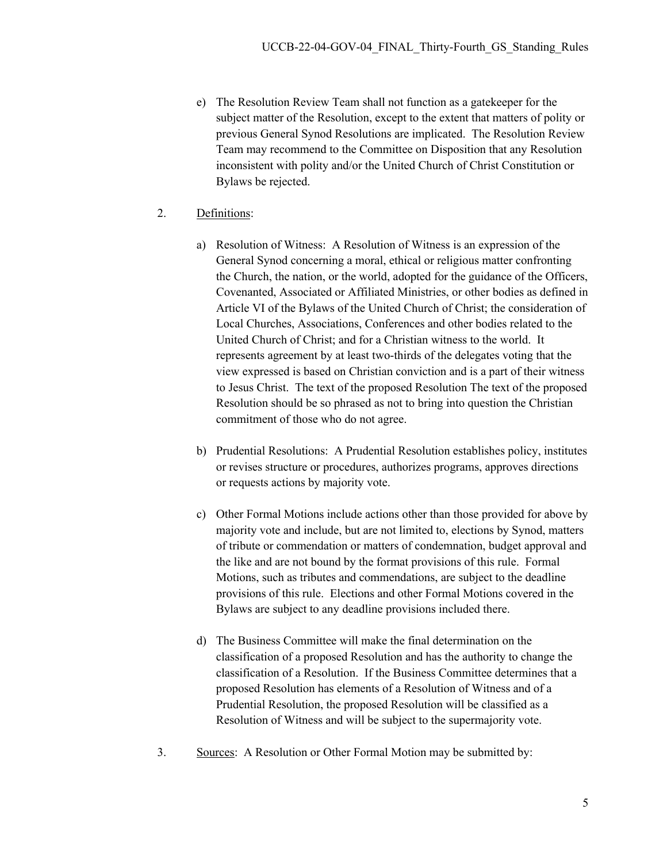- e) The Resolution Review Team shall not function as a gatekeeper for the subject matter of the Resolution, except to the extent that matters of polity or previous General Synod Resolutions are implicated. The Resolution Review Team may recommend to the Committee on Disposition that any Resolution inconsistent with polity and/or the United Church of Christ Constitution or Bylaws be rejected.
- 2. Definitions:
	- a) Resolution of Witness: A Resolution of Witness is an expression of the General Synod concerning a moral, ethical or religious matter confronting the Church, the nation, or the world, adopted for the guidance of the Officers, Covenanted, Associated or Affiliated Ministries, or other bodies as defined in Article VI of the Bylaws of the United Church of Christ; the consideration of Local Churches, Associations, Conferences and other bodies related to the United Church of Christ; and for a Christian witness to the world. It represents agreement by at least two-thirds of the delegates voting that the view expressed is based on Christian conviction and is a part of their witness to Jesus Christ. The text of the proposed Resolution The text of the proposed Resolution should be so phrased as not to bring into question the Christian commitment of those who do not agree.
	- b) Prudential Resolutions: A Prudential Resolution establishes policy, institutes or revises structure or procedures, authorizes programs, approves directions or requests actions by majority vote.
	- c) Other Formal Motions include actions other than those provided for above by majority vote and include, but are not limited to, elections by Synod, matters of tribute or commendation or matters of condemnation, budget approval and the like and are not bound by the format provisions of this rule. Formal Motions, such as tributes and commendations, are subject to the deadline provisions of this rule. Elections and other Formal Motions covered in the Bylaws are subject to any deadline provisions included there.
	- d) The Business Committee will make the final determination on the classification of a proposed Resolution and has the authority to change the classification of a Resolution. If the Business Committee determines that a proposed Resolution has elements of a Resolution of Witness and of a Prudential Resolution, the proposed Resolution will be classified as a Resolution of Witness and will be subject to the supermajority vote.
- 3. Sources: A Resolution or Other Formal Motion may be submitted by: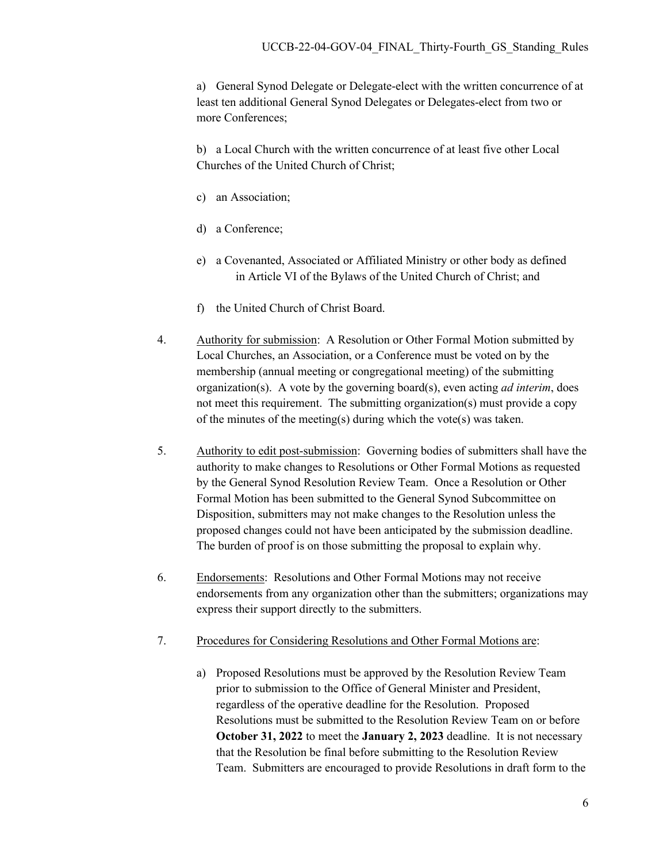a) General Synod Delegate or Delegate-elect with the written concurrence of at least ten additional General Synod Delegates or Delegates-elect from two or more Conferences;

b) a Local Church with the written concurrence of at least five other Local Churches of the United Church of Christ;

- c) an Association;
- d) a Conference;
- e) a Covenanted, Associated or Affiliated Ministry or other body as defined in Article VI of the Bylaws of the United Church of Christ; and
- f) the United Church of Christ Board.
- 4. Authority for submission: A Resolution or Other Formal Motion submitted by Local Churches, an Association, or a Conference must be voted on by the membership (annual meeting or congregational meeting) of the submitting organization(s). A vote by the governing board(s), even acting *ad interim*, does not meet this requirement. The submitting organization(s) must provide a copy of the minutes of the meeting(s) during which the vote(s) was taken.
- 5. Authority to edit post-submission: Governing bodies of submitters shall have the authority to make changes to Resolutions or Other Formal Motions as requested by the General Synod Resolution Review Team. Once a Resolution or Other Formal Motion has been submitted to the General Synod Subcommittee on Disposition, submitters may not make changes to the Resolution unless the proposed changes could not have been anticipated by the submission deadline. The burden of proof is on those submitting the proposal to explain why.
- 6. Endorsements: Resolutions and Other Formal Motions may not receive endorsements from any organization other than the submitters; organizations may express their support directly to the submitters.
- 7. Procedures for Considering Resolutions and Other Formal Motions are:
	- a) Proposed Resolutions must be approved by the Resolution Review Team prior to submission to the Office of General Minister and President, regardless of the operative deadline for the Resolution. Proposed Resolutions must be submitted to the Resolution Review Team on or before **October 31, 2022** to meet the **January 2, 2023** deadline. It is not necessary that the Resolution be final before submitting to the Resolution Review Team. Submitters are encouraged to provide Resolutions in draft form to the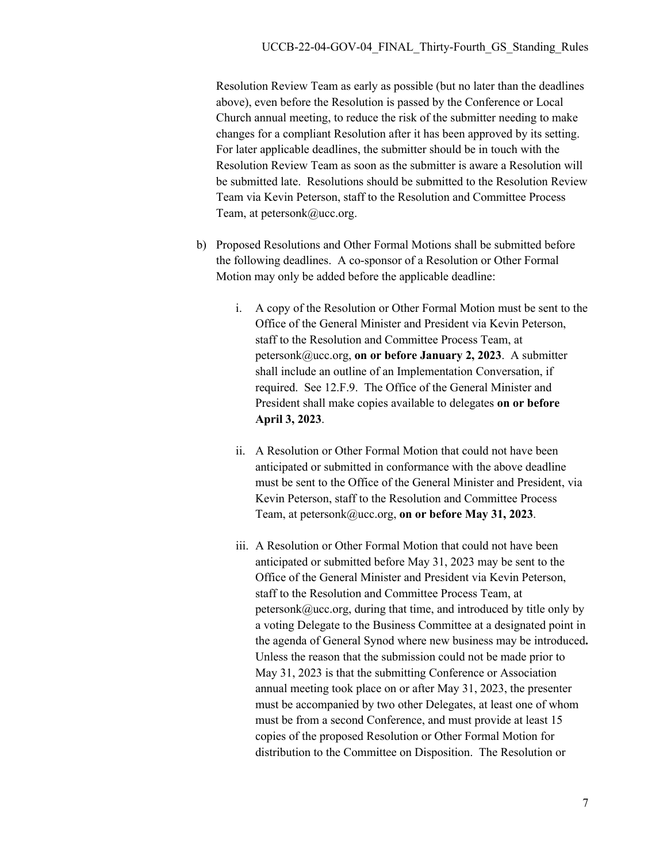Resolution Review Team as early as possible (but no later than the deadlines above), even before the Resolution is passed by the Conference or Local Church annual meeting, to reduce the risk of the submitter needing to make changes for a compliant Resolution after it has been approved by its setting. For later applicable deadlines, the submitter should be in touch with the Resolution Review Team as soon as the submitter is aware a Resolution will be submitted late. Resolutions should be submitted to the Resolution Review Team via Kevin Peterson, staff to the Resolution and Committee Process Team, at petersonk@ucc.org.

- b) Proposed Resolutions and Other Formal Motions shall be submitted before the following deadlines. A co-sponsor of a Resolution or Other Formal Motion may only be added before the applicable deadline:
	- i. A copy of the Resolution or Other Formal Motion must be sent to the Office of the General Minister and President via Kevin Peterson, staff to the Resolution and Committee Process Team, at petersonk@ucc.org, **on or before January 2, 2023**. A submitter shall include an outline of an Implementation Conversation, if required. See 12.F.9. The Office of the General Minister and President shall make copies available to delegates **on or before April 3, 2023**.
	- ii. A Resolution or Other Formal Motion that could not have been anticipated or submitted in conformance with the above deadline must be sent to the Office of the General Minister and President, via Kevin Peterson, staff to the Resolution and Committee Process Team, at petersonk@ucc.org, **on or before May 31, 2023**.
	- iii. A Resolution or Other Formal Motion that could not have been anticipated or submitted before May 31, 2023 may be sent to the Office of the General Minister and President via Kevin Peterson, staff to the Resolution and Committee Process Team, at  $peterson k@ucc.org$ , during that time, and introduced by title only by a voting Delegate to the Business Committee at a designated point in the agenda of General Synod where new business may be introduced**.**  Unless the reason that the submission could not be made prior to May 31, 2023 is that the submitting Conference or Association annual meeting took place on or after May 31, 2023, the presenter must be accompanied by two other Delegates, at least one of whom must be from a second Conference, and must provide at least 15 copies of the proposed Resolution or Other Formal Motion for distribution to the Committee on Disposition. The Resolution or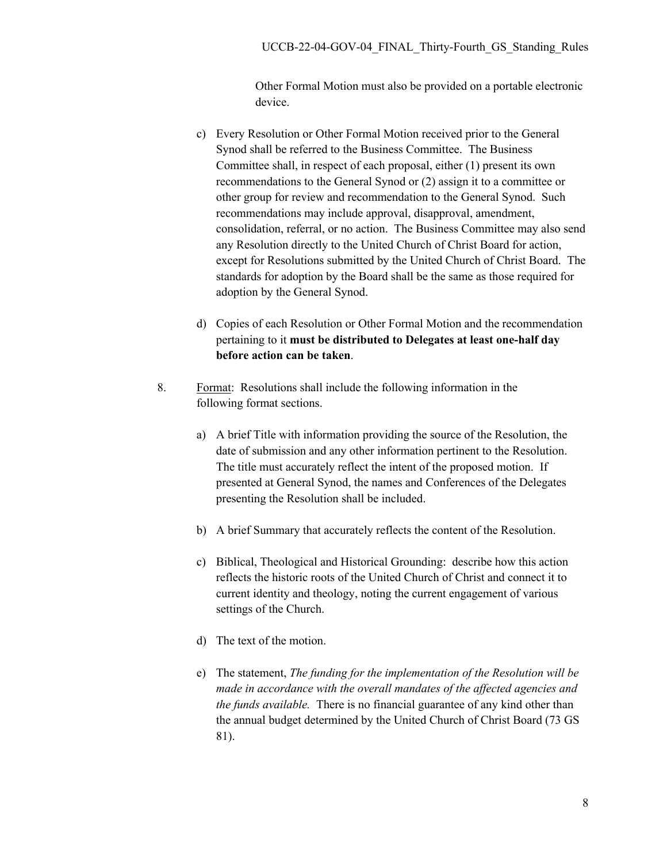Other Formal Motion must also be provided on a portable electronic device.

- c) Every Resolution or Other Formal Motion received prior to the General Synod shall be referred to the Business Committee. The Business Committee shall, in respect of each proposal, either (1) present its own recommendations to the General Synod or (2) assign it to a committee or other group for review and recommendation to the General Synod. Such recommendations may include approval, disapproval, amendment, consolidation, referral, or no action. The Business Committee may also send any Resolution directly to the United Church of Christ Board for action, except for Resolutions submitted by the United Church of Christ Board. The standards for adoption by the Board shall be the same as those required for adoption by the General Synod.
- d) Copies of each Resolution or Other Formal Motion and the recommendation pertaining to it **must be distributed to Delegates at least one-half day before action can be taken**.
- 8. Format: Resolutions shall include the following information in the following format sections.
	- a) A brief Title with information providing the source of the Resolution, the date of submission and any other information pertinent to the Resolution. The title must accurately reflect the intent of the proposed motion. If presented at General Synod, the names and Conferences of the Delegates presenting the Resolution shall be included.
	- b) A brief Summary that accurately reflects the content of the Resolution.
	- c) Biblical, Theological and Historical Grounding: describe how this action reflects the historic roots of the United Church of Christ and connect it to current identity and theology, noting the current engagement of various settings of the Church.
	- d) The text of the motion.
	- e) The statement, *The funding for the implementation of the Resolution will be made in accordance with the overall mandates of the affected agencies and the funds available.* There is no financial guarantee of any kind other than the annual budget determined by the United Church of Christ Board (73 GS 81).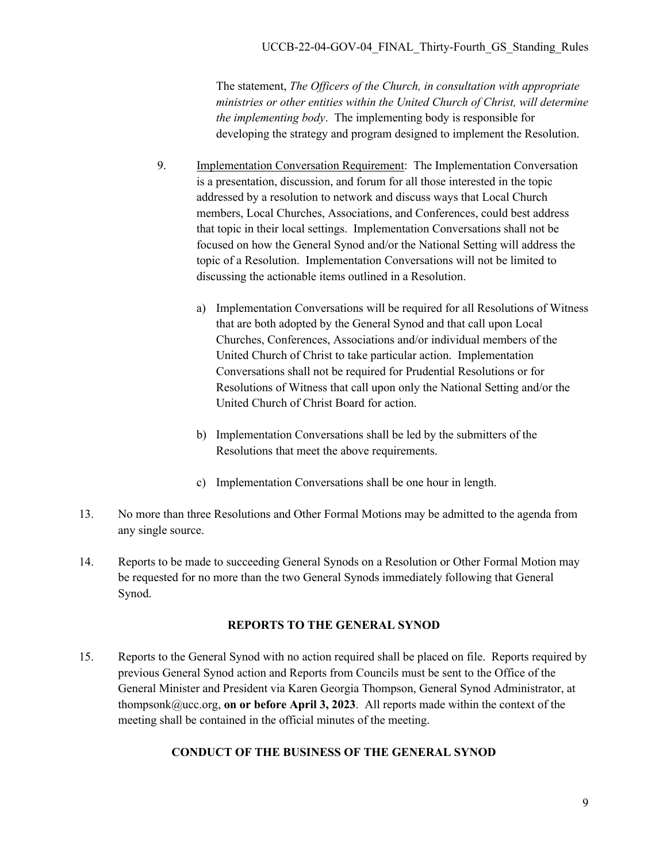The statement, *The Officers of the Church, in consultation with appropriate ministries or other entities within the United Church of Christ, will determine the implementing body*. The implementing body is responsible for developing the strategy and program designed to implement the Resolution.

- 9. Implementation Conversation Requirement: The Implementation Conversation is a presentation, discussion, and forum for all those interested in the topic addressed by a resolution to network and discuss ways that Local Church members, Local Churches, Associations, and Conferences, could best address that topic in their local settings. Implementation Conversations shall not be focused on how the General Synod and/or the National Setting will address the topic of a Resolution. Implementation Conversations will not be limited to discussing the actionable items outlined in a Resolution.
	- a) Implementation Conversations will be required for all Resolutions of Witness that are both adopted by the General Synod and that call upon Local Churches, Conferences, Associations and/or individual members of the United Church of Christ to take particular action. Implementation Conversations shall not be required for Prudential Resolutions or for Resolutions of Witness that call upon only the National Setting and/or the United Church of Christ Board for action.
	- b) Implementation Conversations shall be led by the submitters of the Resolutions that meet the above requirements.
	- c) Implementation Conversations shall be one hour in length.
- 13. No more than three Resolutions and Other Formal Motions may be admitted to the agenda from any single source.
- 14. Reports to be made to succeeding General Synods on a Resolution or Other Formal Motion may be requested for no more than the two General Synods immediately following that General Synod.

#### **REPORTS TO THE GENERAL SYNOD**

15. Reports to the General Synod with no action required shall be placed on file. Reports required by previous General Synod action and Reports from Councils must be sent to the Office of the General Minister and President via Karen Georgia Thompson, General Synod Administrator, at thompsonk@ucc.org, **on or before April 3, 2023**. All reports made within the context of the meeting shall be contained in the official minutes of the meeting.

## **CONDUCT OF THE BUSINESS OF THE GENERAL SYNOD**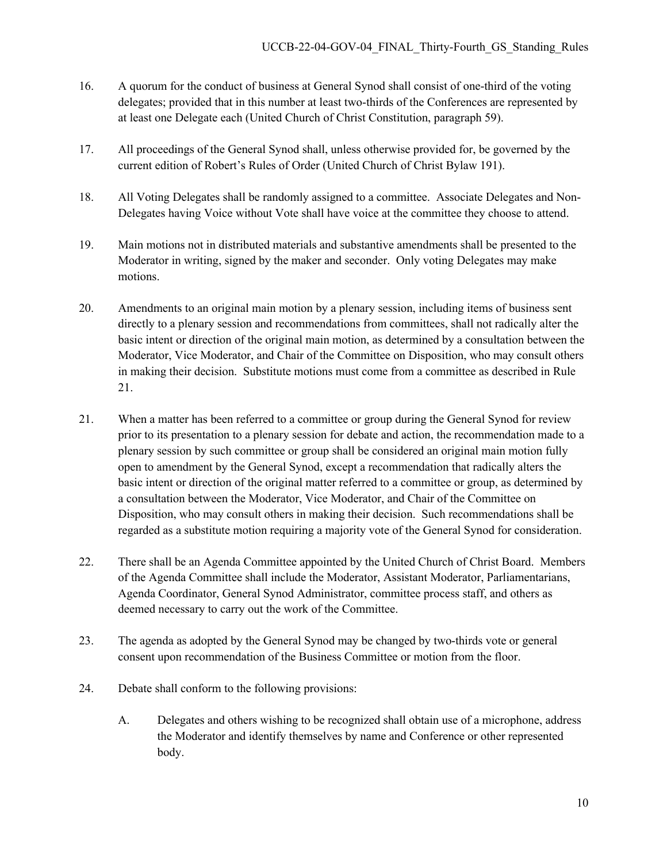- 16. A quorum for the conduct of business at General Synod shall consist of one-third of the voting delegates; provided that in this number at least two-thirds of the Conferences are represented by at least one Delegate each (United Church of Christ Constitution, paragraph 59).
- 17. All proceedings of the General Synod shall, unless otherwise provided for, be governed by the current edition of Robert's Rules of Order (United Church of Christ Bylaw 191).
- 18. All Voting Delegates shall be randomly assigned to a committee. Associate Delegates and Non-Delegates having Voice without Vote shall have voice at the committee they choose to attend.
- 19. Main motions not in distributed materials and substantive amendments shall be presented to the Moderator in writing, signed by the maker and seconder. Only voting Delegates may make motions.
- 20. Amendments to an original main motion by a plenary session, including items of business sent directly to a plenary session and recommendations from committees, shall not radically alter the basic intent or direction of the original main motion, as determined by a consultation between the Moderator, Vice Moderator, and Chair of the Committee on Disposition, who may consult others in making their decision. Substitute motions must come from a committee as described in Rule 21.
- 21. When a matter has been referred to a committee or group during the General Synod for review prior to its presentation to a plenary session for debate and action, the recommendation made to a plenary session by such committee or group shall be considered an original main motion fully open to amendment by the General Synod, except a recommendation that radically alters the basic intent or direction of the original matter referred to a committee or group, as determined by a consultation between the Moderator, Vice Moderator, and Chair of the Committee on Disposition, who may consult others in making their decision. Such recommendations shall be regarded as a substitute motion requiring a majority vote of the General Synod for consideration.
- 22. There shall be an Agenda Committee appointed by the United Church of Christ Board. Members of the Agenda Committee shall include the Moderator, Assistant Moderator, Parliamentarians, Agenda Coordinator, General Synod Administrator, committee process staff, and others as deemed necessary to carry out the work of the Committee.
- 23. The agenda as adopted by the General Synod may be changed by two-thirds vote or general consent upon recommendation of the Business Committee or motion from the floor.
- 24. Debate shall conform to the following provisions:
	- A. Delegates and others wishing to be recognized shall obtain use of a microphone, address the Moderator and identify themselves by name and Conference or other represented body.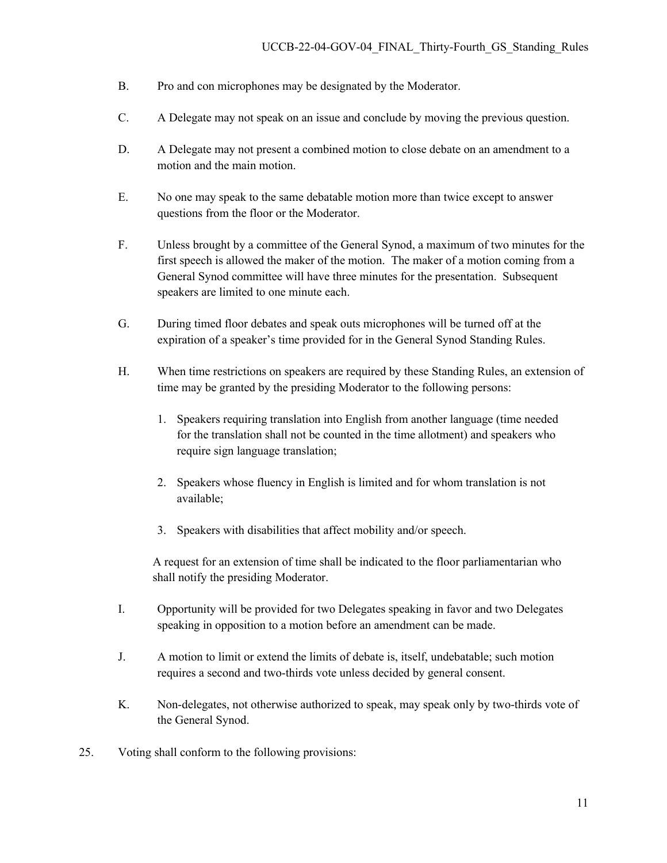- B. Pro and con microphones may be designated by the Moderator.
- C. A Delegate may not speak on an issue and conclude by moving the previous question.
- D. A Delegate may not present a combined motion to close debate on an amendment to a motion and the main motion.
- E. No one may speak to the same debatable motion more than twice except to answer questions from the floor or the Moderator.
- F. Unless brought by a committee of the General Synod, a maximum of two minutes for the first speech is allowed the maker of the motion. The maker of a motion coming from a General Synod committee will have three minutes for the presentation. Subsequent speakers are limited to one minute each.
- G. During timed floor debates and speak outs microphones will be turned off at the expiration of a speaker's time provided for in the General Synod Standing Rules.
- H. When time restrictions on speakers are required by these Standing Rules, an extension of time may be granted by the presiding Moderator to the following persons:
	- 1. Speakers requiring translation into English from another language (time needed for the translation shall not be counted in the time allotment) and speakers who require sign language translation;
	- 2. Speakers whose fluency in English is limited and for whom translation is not available;
	- 3. Speakers with disabilities that affect mobility and/or speech.

 A request for an extension of time shall be indicated to the floor parliamentarian who shall notify the presiding Moderator.

- I. Opportunity will be provided for two Delegates speaking in favor and two Delegates speaking in opposition to a motion before an amendment can be made.
- J. A motion to limit or extend the limits of debate is, itself, undebatable; such motion requires a second and two-thirds vote unless decided by general consent.
- K. Non-delegates, not otherwise authorized to speak, may speak only by two-thirds vote of the General Synod.
- 25. Voting shall conform to the following provisions: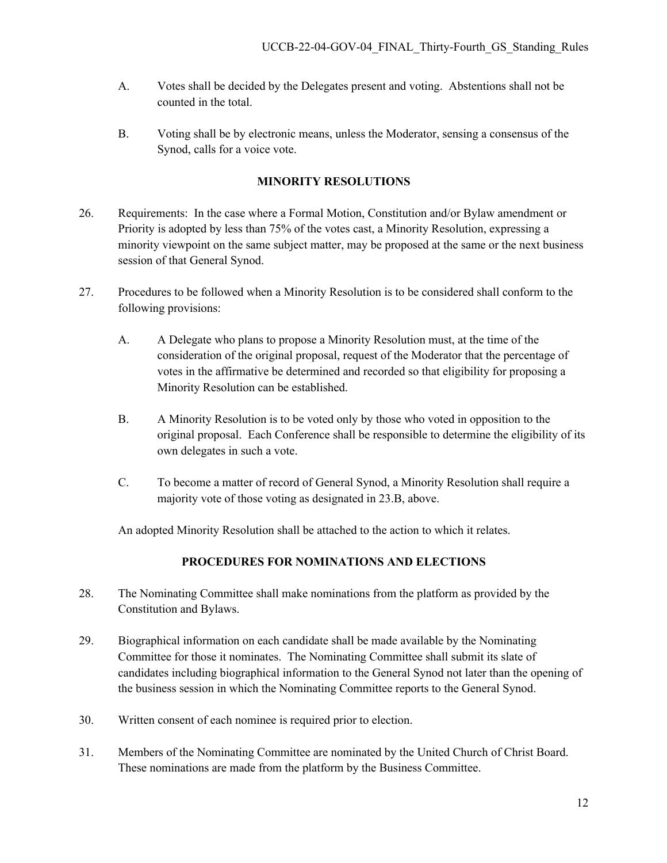- A. Votes shall be decided by the Delegates present and voting. Abstentions shall not be counted in the total.
- B. Voting shall be by electronic means, unless the Moderator, sensing a consensus of the Synod, calls for a voice vote.

## **MINORITY RESOLUTIONS**

- 26. Requirements: In the case where a Formal Motion, Constitution and/or Bylaw amendment or Priority is adopted by less than 75% of the votes cast, a Minority Resolution, expressing a minority viewpoint on the same subject matter, may be proposed at the same or the next business session of that General Synod.
- 27. Procedures to be followed when a Minority Resolution is to be considered shall conform to the following provisions:
	- A. A Delegate who plans to propose a Minority Resolution must, at the time of the consideration of the original proposal, request of the Moderator that the percentage of votes in the affirmative be determined and recorded so that eligibility for proposing a Minority Resolution can be established.
	- B. A Minority Resolution is to be voted only by those who voted in opposition to the original proposal. Each Conference shall be responsible to determine the eligibility of its own delegates in such a vote.
	- C. To become a matter of record of General Synod, a Minority Resolution shall require a majority vote of those voting as designated in 23.B, above.

An adopted Minority Resolution shall be attached to the action to which it relates.

## **PROCEDURES FOR NOMINATIONS AND ELECTIONS**

- 28. The Nominating Committee shall make nominations from the platform as provided by the Constitution and Bylaws.
- 29. Biographical information on each candidate shall be made available by the Nominating Committee for those it nominates. The Nominating Committee shall submit its slate of candidates including biographical information to the General Synod not later than the opening of the business session in which the Nominating Committee reports to the General Synod.
- 30. Written consent of each nominee is required prior to election.
- 31. Members of the Nominating Committee are nominated by the United Church of Christ Board. These nominations are made from the platform by the Business Committee.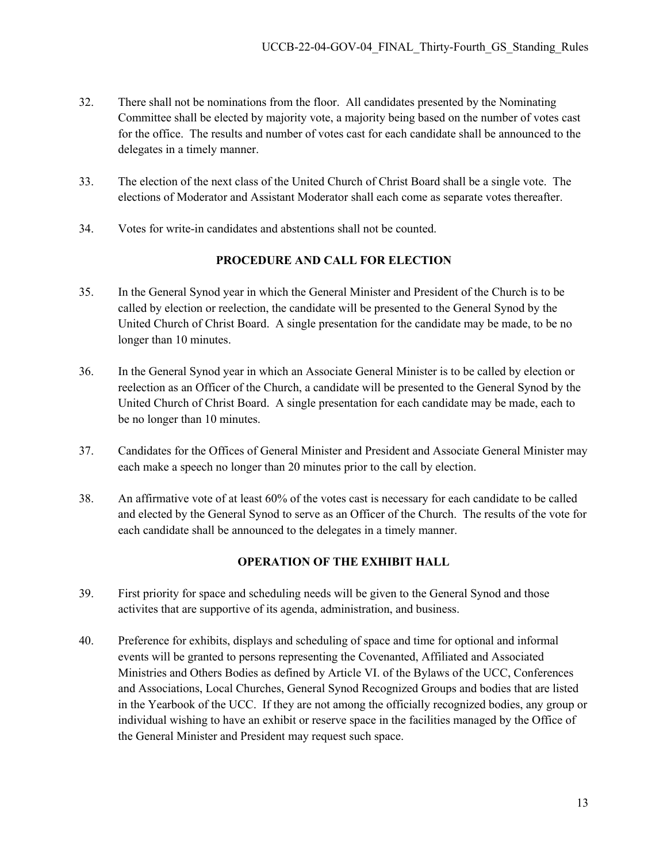- 32. There shall not be nominations from the floor. All candidates presented by the Nominating Committee shall be elected by majority vote, a majority being based on the number of votes cast for the office. The results and number of votes cast for each candidate shall be announced to the delegates in a timely manner.
- 33. The election of the next class of the United Church of Christ Board shall be a single vote. The elections of Moderator and Assistant Moderator shall each come as separate votes thereafter.
- 34. Votes for write-in candidates and abstentions shall not be counted.

# **PROCEDURE AND CALL FOR ELECTION**

- 35. In the General Synod year in which the General Minister and President of the Church is to be called by election or reelection, the candidate will be presented to the General Synod by the United Church of Christ Board. A single presentation for the candidate may be made, to be no longer than 10 minutes.
- 36. In the General Synod year in which an Associate General Minister is to be called by election or reelection as an Officer of the Church, a candidate will be presented to the General Synod by the United Church of Christ Board. A single presentation for each candidate may be made, each to be no longer than 10 minutes.
- 37. Candidates for the Offices of General Minister and President and Associate General Minister may each make a speech no longer than 20 minutes prior to the call by election.
- 38. An affirmative vote of at least 60% of the votes cast is necessary for each candidate to be called and elected by the General Synod to serve as an Officer of the Church. The results of the vote for each candidate shall be announced to the delegates in a timely manner.

## **OPERATION OF THE EXHIBIT HALL**

- 39. First priority for space and scheduling needs will be given to the General Synod and those activites that are supportive of its agenda, administration, and business.
- 40. Preference for exhibits, displays and scheduling of space and time for optional and informal events will be granted to persons representing the Covenanted, Affiliated and Associated Ministries and Others Bodies as defined by Article VI. of the Bylaws of the UCC, Conferences and Associations, Local Churches, General Synod Recognized Groups and bodies that are listed in the Yearbook of the UCC. If they are not among the officially recognized bodies, any group or individual wishing to have an exhibit or reserve space in the facilities managed by the Office of the General Minister and President may request such space.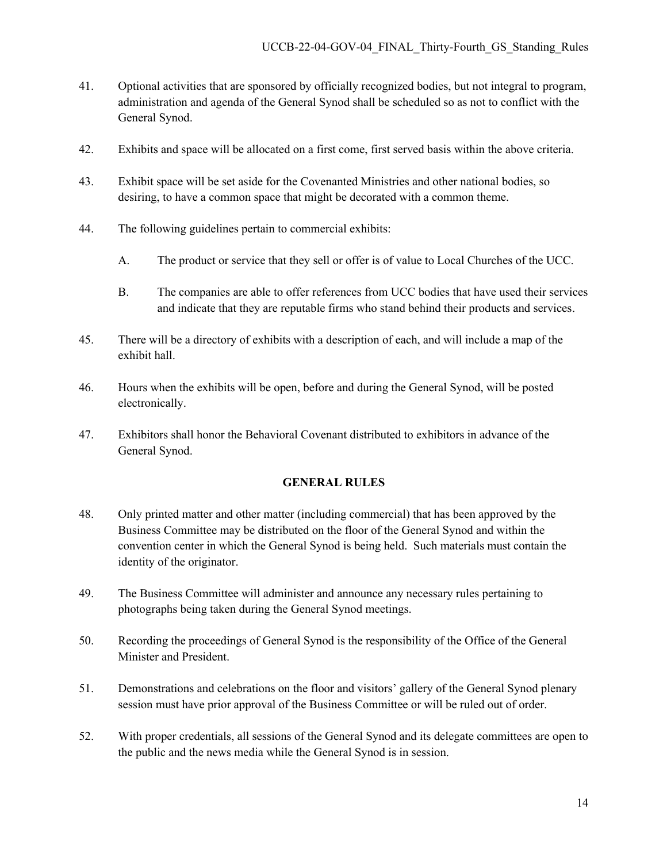- 41. Optional activities that are sponsored by officially recognized bodies, but not integral to program, administration and agenda of the General Synod shall be scheduled so as not to conflict with the General Synod.
- 42. Exhibits and space will be allocated on a first come, first served basis within the above criteria.
- 43. Exhibit space will be set aside for the Covenanted Ministries and other national bodies, so desiring, to have a common space that might be decorated with a common theme.
- 44. The following guidelines pertain to commercial exhibits:
	- A. The product or service that they sell or offer is of value to Local Churches of the UCC.
	- B. The companies are able to offer references from UCC bodies that have used their services and indicate that they are reputable firms who stand behind their products and services.
- 45. There will be a directory of exhibits with a description of each, and will include a map of the exhibit hall.
- 46. Hours when the exhibits will be open, before and during the General Synod, will be posted electronically.
- 47. Exhibitors shall honor the Behavioral Covenant distributed to exhibitors in advance of the General Synod.

#### **GENERAL RULES**

- 48. Only printed matter and other matter (including commercial) that has been approved by the Business Committee may be distributed on the floor of the General Synod and within the convention center in which the General Synod is being held. Such materials must contain the identity of the originator.
- 49. The Business Committee will administer and announce any necessary rules pertaining to photographs being taken during the General Synod meetings.
- 50. Recording the proceedings of General Synod is the responsibility of the Office of the General Minister and President.
- 51. Demonstrations and celebrations on the floor and visitors' gallery of the General Synod plenary session must have prior approval of the Business Committee or will be ruled out of order.
- 52. With proper credentials, all sessions of the General Synod and its delegate committees are open to the public and the news media while the General Synod is in session.